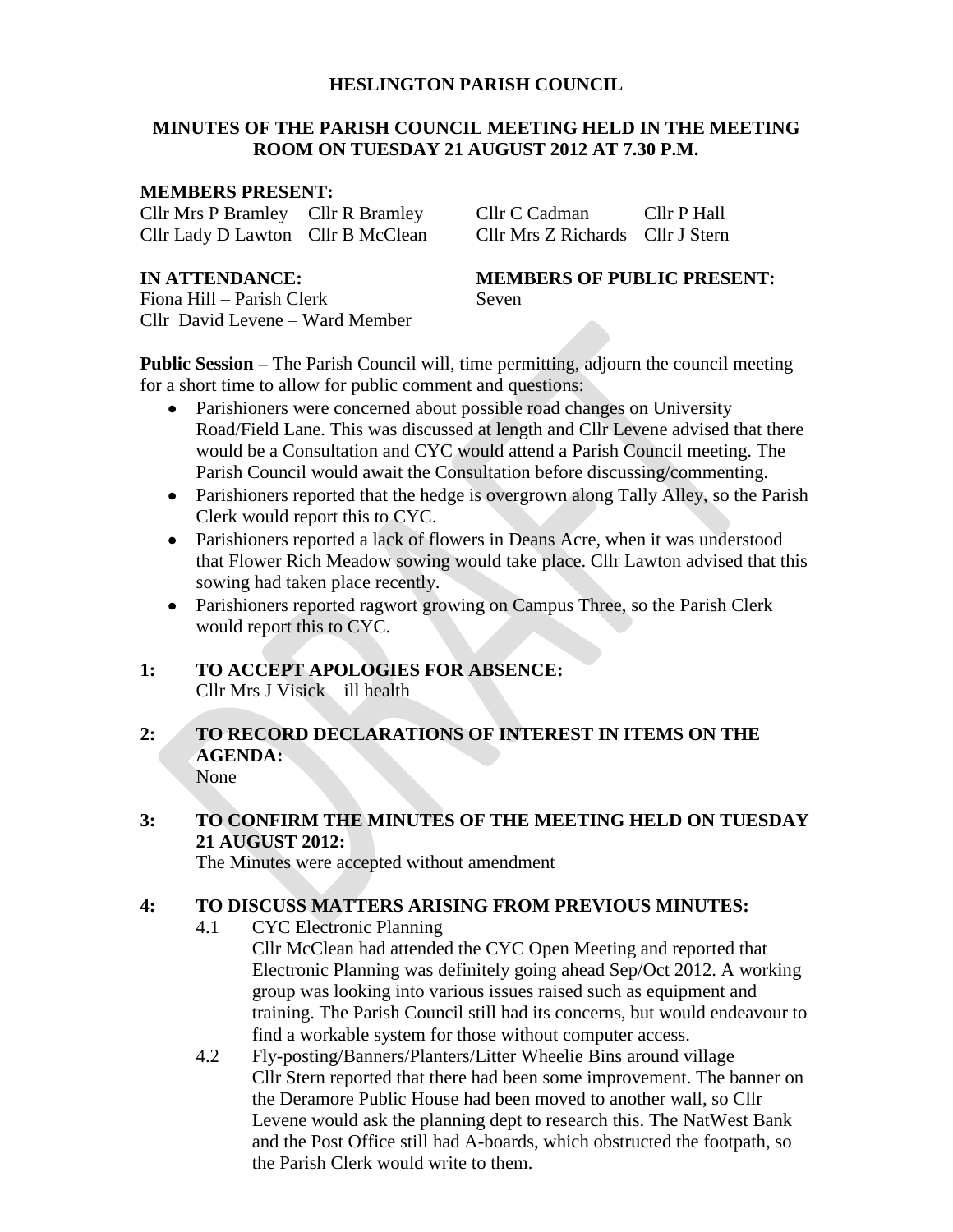# **HESLINGTON PARISH COUNCIL**

# **MINUTES OF THE PARISH COUNCIL MEETING HELD IN THE MEETING ROOM ON TUESDAY 21 AUGUST 2012 AT 7.30 P.M.**

#### **MEMBERS PRESENT:**

Cllr Mrs P Bramley Cllr R Bramley Cllr C Cadman Cllr P Hall Cllr Lady D Lawton Cllr B McClean Cllr Mrs Z Richards Cllr J Stern

Fiona Hill – Parish Clerk Seven Cllr David Levene – Ward Member

# **IN ATTENDANCE: MEMBERS OF PUBLIC PRESENT:**

**Public Session –** The Parish Council will, time permitting, adjourn the council meeting for a short time to allow for public comment and questions:

- Parishioners were concerned about possible road changes on University Road/Field Lane. This was discussed at length and Cllr Levene advised that there would be a Consultation and CYC would attend a Parish Council meeting. The Parish Council would await the Consultation before discussing/commenting.
- Parishioners reported that the hedge is overgrown along Tally Alley, so the Parish Clerk would report this to CYC.
- Parishioners reported a lack of flowers in Deans Acre, when it was understood that Flower Rich Meadow sowing would take place. Cllr Lawton advised that this sowing had taken place recently.
- Parishioners reported ragwort growing on Campus Three, so the Parish Clerk would report this to CYC.

#### **1: TO ACCEPT APOLOGIES FOR ABSENCE:** Cllr Mrs J Visick – ill health

#### **2: TO RECORD DECLARATIONS OF INTEREST IN ITEMS ON THE AGENDA:** None

**3: TO CONFIRM THE MINUTES OF THE MEETING HELD ON TUESDAY 21 AUGUST 2012:**

The Minutes were accepted without amendment

#### **4: TO DISCUSS MATTERS ARISING FROM PREVIOUS MINUTES:**

4.1 CYC Electronic Planning

Cllr McClean had attended the CYC Open Meeting and reported that Electronic Planning was definitely going ahead Sep/Oct 2012. A working group was looking into various issues raised such as equipment and training. The Parish Council still had its concerns, but would endeavour to find a workable system for those without computer access.

4.2 Fly-posting/Banners/Planters/Litter Wheelie Bins around village Cllr Stern reported that there had been some improvement. The banner on the Deramore Public House had been moved to another wall, so Cllr Levene would ask the planning dept to research this. The NatWest Bank and the Post Office still had A-boards, which obstructed the footpath, so the Parish Clerk would write to them.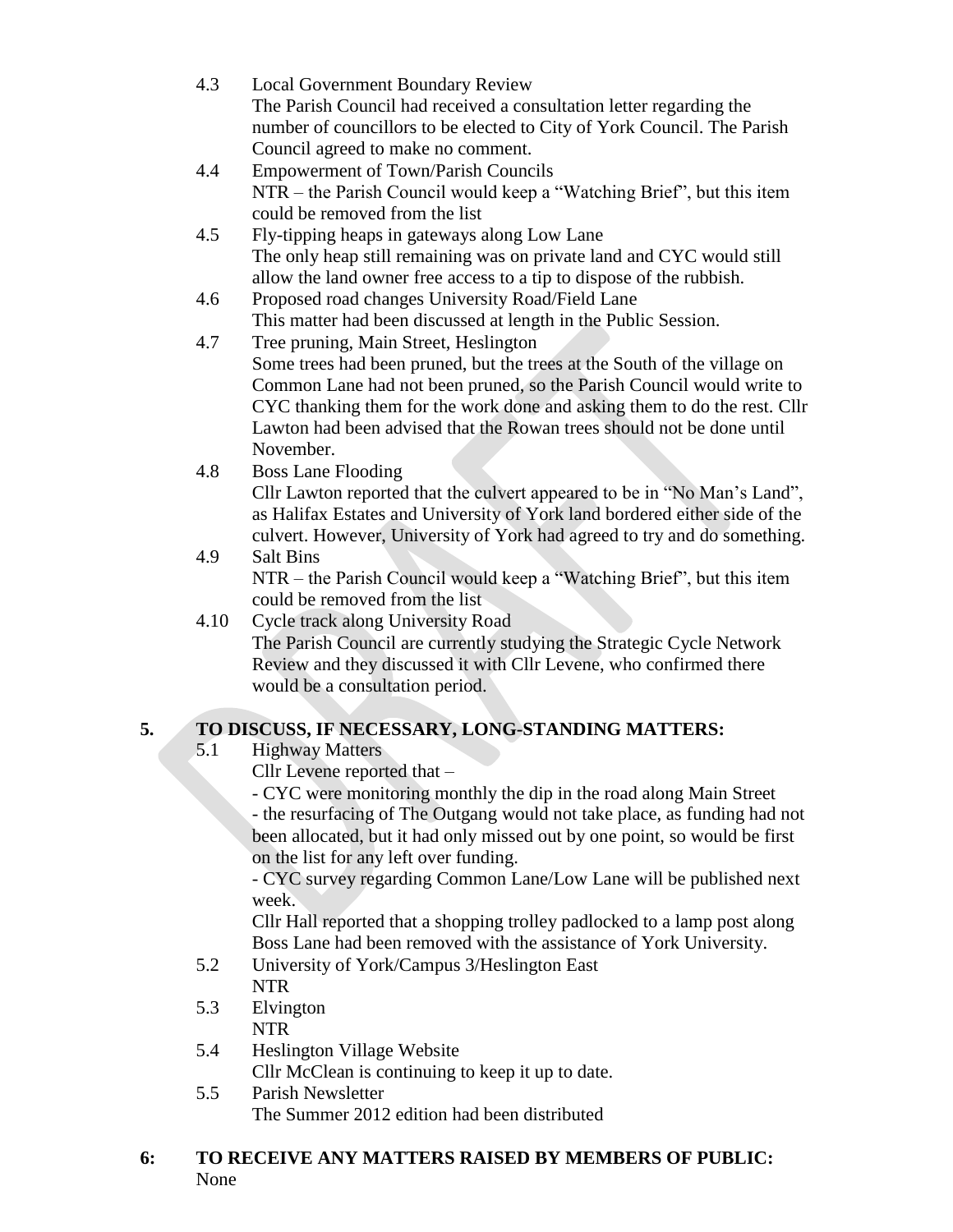- 4.3 Local Government Boundary Review The Parish Council had received a consultation letter regarding the number of councillors to be elected to City of York Council. The Parish Council agreed to make no comment.
- 4.4 Empowerment of Town/Parish Councils NTR – the Parish Council would keep a "Watching Brief", but this item could be removed from the list
- 4.5 Fly-tipping heaps in gateways along Low Lane The only heap still remaining was on private land and CYC would still allow the land owner free access to a tip to dispose of the rubbish.
- 4.6 Proposed road changes University Road/Field Lane This matter had been discussed at length in the Public Session.
- 4.7 Tree pruning, Main Street, Heslington Some trees had been pruned, but the trees at the South of the village on Common Lane had not been pruned, so the Parish Council would write to CYC thanking them for the work done and asking them to do the rest. Cllr Lawton had been advised that the Rowan trees should not be done until November.
- 4.8 Boss Lane Flooding

Cllr Lawton reported that the culvert appeared to be in "No Man's Land", as Halifax Estates and University of York land bordered either side of the culvert. However, University of York had agreed to try and do something.

- 4.9 Salt Bins NTR – the Parish Council would keep a "Watching Brief", but this item could be removed from the list
- 4.10 Cycle track along University Road The Parish Council are currently studying the Strategic Cycle Network Review and they discussed it with Cllr Levene, who confirmed there would be a consultation period.

# **5. TO DISCUSS, IF NECESSARY, LONG-STANDING MATTERS:**

- 5.1 Highway Matters
	- Cllr Levene reported that –

- CYC were monitoring monthly the dip in the road along Main Street - the resurfacing of The Outgang would not take place, as funding had not been allocated, but it had only missed out by one point, so would be first on the list for any left over funding.

- CYC survey regarding Common Lane/Low Lane will be published next week.

Cllr Hall reported that a shopping trolley padlocked to a lamp post along Boss Lane had been removed with the assistance of York University.

- 5.2 University of York/Campus 3/Heslington East NTR
- 5.3 Elvington NTR
- 5.4 Heslington Village Website Cllr McClean is continuing to keep it up to date.
- 5.5 Parish Newsletter The Summer 2012 edition had been distributed

# **6: TO RECEIVE ANY MATTERS RAISED BY MEMBERS OF PUBLIC:** None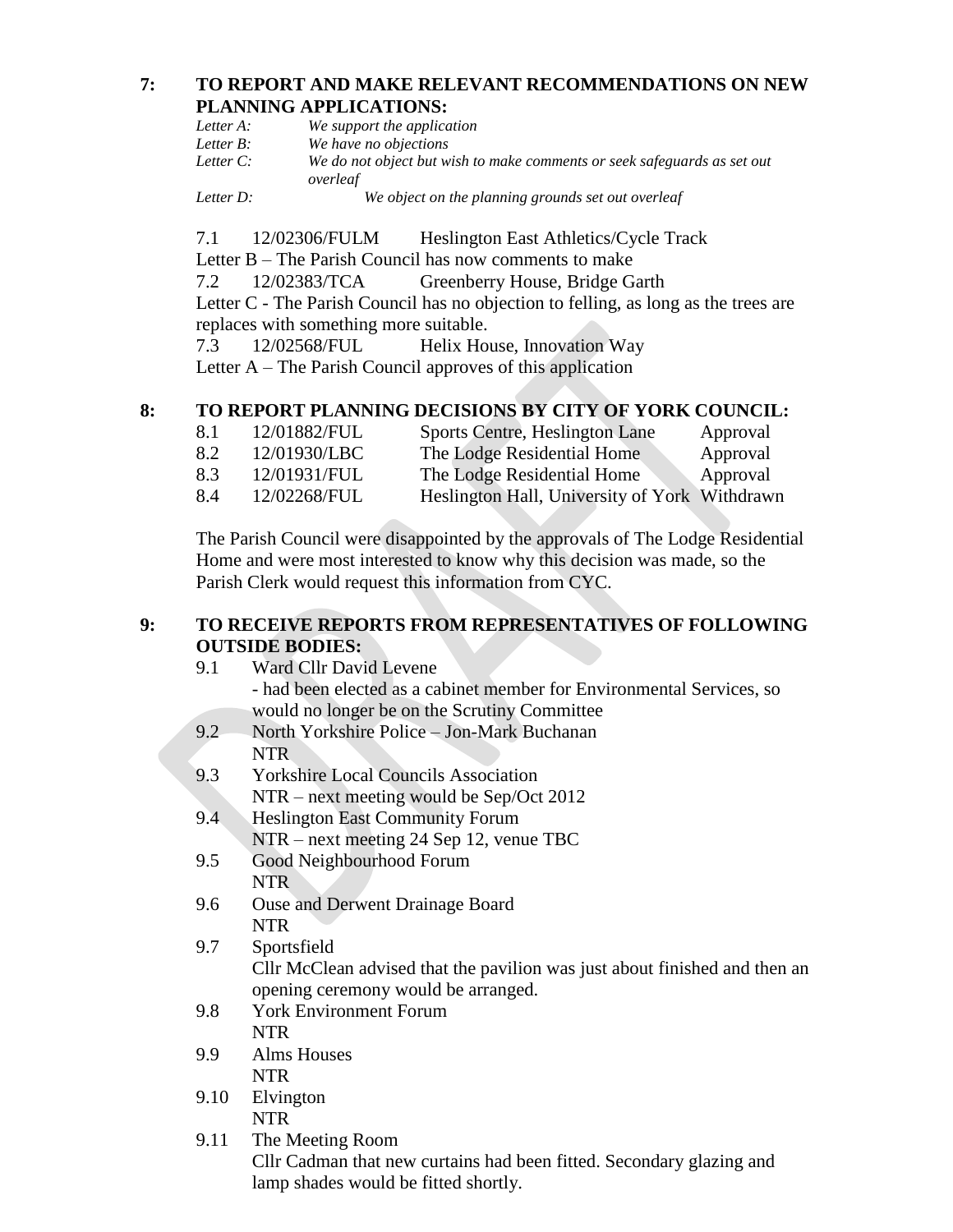### **7: TO REPORT AND MAKE RELEVANT RECOMMENDATIONS ON NEW PLANNING APPLICATIONS:**

| Letter A: | We support the application                                                           |
|-----------|--------------------------------------------------------------------------------------|
| Letter B: | We have no objections                                                                |
| Letter C: | We do not object but wish to make comments or seek safeguards as set out<br>overleaf |
| Letter D: | We object on the planning grounds set out overleaf                                   |

7.1 12/02306/FULM Heslington East Athletics/Cycle Track Letter B – The Parish Council has now comments to make 7.2 12/02383/TCA Greenberry House, Bridge Garth Letter C - The Parish Council has no objection to felling, as long as the trees are replaces with something more suitable.

7.3 12/02568/FUL Helix House, Innovation Way Letter A – The Parish Council approves of this application

# **8: TO REPORT PLANNING DECISIONS BY CITY OF YORK COUNCIL:**

| 8.1 | 12/01882/FUL | Sports Centre, Heslington Lane                | Approval |
|-----|--------------|-----------------------------------------------|----------|
| 8.2 | 12/01930/LBC | The Lodge Residential Home                    | Approval |
| 8.3 | 12/01931/FUL | The Lodge Residential Home                    | Approval |
| 8.4 | 12/02268/FUL | Heslington Hall, University of York Withdrawn |          |

The Parish Council were disappointed by the approvals of The Lodge Residential Home and were most interested to know why this decision was made, so the Parish Clerk would request this information from CYC.

# **9: TO RECEIVE REPORTS FROM REPRESENTATIVES OF FOLLOWING OUTSIDE BODIES:**

- 9.1 Ward Cllr David Levene - had been elected as a cabinet member for Environmental Services, so would no longer be on the Scrutiny Committee
- 9.2 North Yorkshire Police Jon-Mark Buchanan NTR
- 9.3 Yorkshire Local Councils Association NTR – next meeting would be Sep/Oct 2012
- 9.4 Heslington East Community Forum NTR – next meeting 24 Sep 12, venue TBC
- 9.5 Good Neighbourhood Forum NTR
- 9.6 Ouse and Derwent Drainage Board NTR
- 9.7 Sportsfield

Cllr McClean advised that the pavilion was just about finished and then an opening ceremony would be arranged.

- 9.8 York Environment Forum NTR
- 9.9 Alms Houses NTR
- 9.10 Elvington NTR
- 9.11 The Meeting Room Cllr Cadman that new curtains had been fitted. Secondary glazing and lamp shades would be fitted shortly.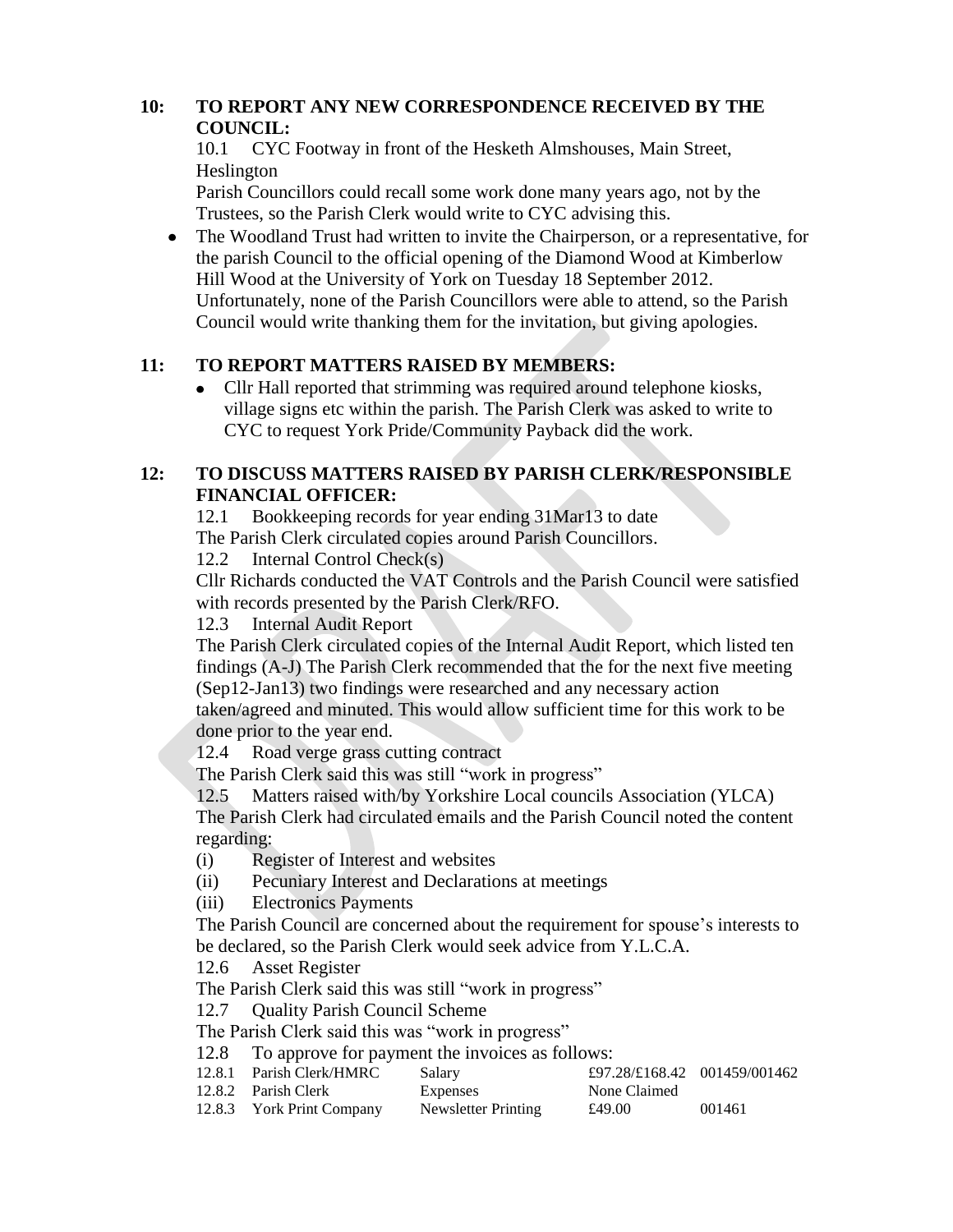# **10: TO REPORT ANY NEW CORRESPONDENCE RECEIVED BY THE COUNCIL:**

10.1 CYC Footway in front of the Hesketh Almshouses, Main Street, Heslington

Parish Councillors could recall some work done many years ago, not by the Trustees, so the Parish Clerk would write to CYC advising this.

The Woodland Trust had written to invite the Chairperson, or a representative, for the parish Council to the official opening of the Diamond Wood at Kimberlow Hill Wood at the University of York on Tuesday 18 September 2012. Unfortunately, none of the Parish Councillors were able to attend, so the Parish Council would write thanking them for the invitation, but giving apologies.

# **11: TO REPORT MATTERS RAISED BY MEMBERS:**

Cllr Hall reported that strimming was required around telephone kiosks,  $\bullet$ village signs etc within the parish. The Parish Clerk was asked to write to CYC to request York Pride/Community Payback did the work.

# **12: TO DISCUSS MATTERS RAISED BY PARISH CLERK/RESPONSIBLE FINANCIAL OFFICER:**

12.1 Bookkeeping records for year ending 31Mar13 to date The Parish Clerk circulated copies around Parish Councillors.

12.2 Internal Control Check(s)

Cllr Richards conducted the VAT Controls and the Parish Council were satisfied with records presented by the Parish Clerk/RFO.

12.3 Internal Audit Report

The Parish Clerk circulated copies of the Internal Audit Report, which listed ten findings (A-J) The Parish Clerk recommended that the for the next five meeting (Sep12-Jan13) two findings were researched and any necessary action taken/agreed and minuted. This would allow sufficient time for this work to be done prior to the year end.

12.4 Road verge grass cutting contract

The Parish Clerk said this was still "work in progress"

12.5 Matters raised with/by Yorkshire Local councils Association (YLCA) The Parish Clerk had circulated emails and the Parish Council noted the content regarding:

- (i) Register of Interest and websites
- (ii) Pecuniary Interest and Declarations at meetings

(iii) Electronics Payments

The Parish Council are concerned about the requirement for spouse's interests to be declared, so the Parish Clerk would seek advice from Y.L.C.A.

12.6 Asset Register

The Parish Clerk said this was still "work in progress"

12.7 Quality Parish Council Scheme

The Parish Clerk said this was "work in progress"

12.8 To approve for payment the invoices as follows:

| 12.8.1 Parish Clerk/HMRC  | Salary              |              | £97.28/£168.42 001459/001462 |
|---------------------------|---------------------|--------------|------------------------------|
| 12.8.2 Parish Clerk       | Expenses            | None Claimed |                              |
| 12.8.3 York Print Company | Newsletter Printing | £49.00       | 001461                       |